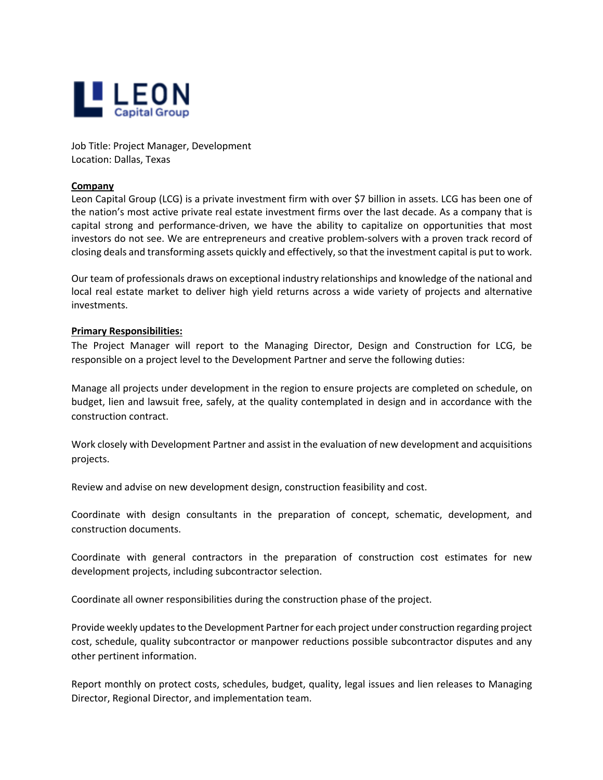

Job Title: Project Manager, Development Location: Dallas, Texas

## **Company**

Leon Capital Group (LCG) is a private investment firm with over \$7 billion in assets. LCG has been one of the nation's most active private real estate investment firms over the last decade. As a company that is capital strong and performance-driven, we have the ability to capitalize on opportunities that most investors do not see. We are entrepreneurs and creative problem-solvers with a proven track record of closing deals and transforming assets quickly and effectively, so that the investment capital is put to work.

Our team of professionals draws on exceptional industry relationships and knowledge of the national and local real estate market to deliver high yield returns across a wide variety of projects and alternative investments.

## **Primary Responsibilities:**

The Project Manager will report to the Managing Director, Design and Construction for LCG, be responsible on a project level to the Development Partner and serve the following duties:

Manage all projects under development in the region to ensure projects are completed on schedule, on budget, lien and lawsuit free, safely, at the quality contemplated in design and in accordance with the construction contract.

Work closely with Development Partner and assist in the evaluation of new development and acquisitions projects.

Review and advise on new development design, construction feasibility and cost.

Coordinate with design consultants in the preparation of concept, schematic, development, and construction documents.

Coordinate with general contractors in the preparation of construction cost estimates for new development projects, including subcontractor selection.

Coordinate all owner responsibilities during the construction phase of the project.

Provide weekly updates to the Development Partner for each project under construction regarding project cost, schedule, quality subcontractor or manpower reductions possible subcontractor disputes and any other pertinent information.

Report monthly on protect costs, schedules, budget, quality, legal issues and lien releases to Managing Director, Regional Director, and implementation team.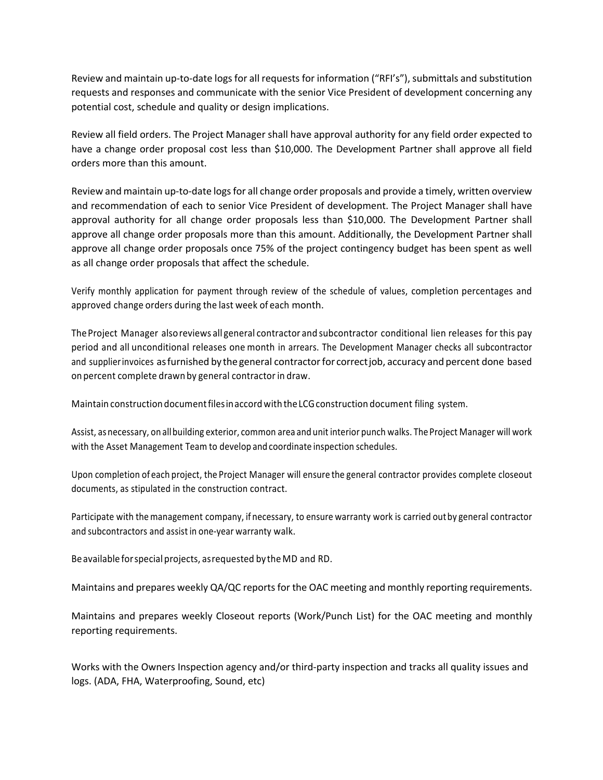Review and maintain up-to-date logs for all requests for information ("RFI's"), submittals and substitution requests and responses and communicate with the senior Vice President of development concerning any potential cost, schedule and quality or design implications.

Review all field orders. The Project Manager shall have approval authority for any field order expected to have a change order proposal cost less than \$10,000. The Development Partner shall approve all field orders more than this amount.

Review and maintain up-to-date logs for all change order proposals and provide a timely, written overview and recommendation of each to senior Vice President of development. The Project Manager shall have approval authority for all change order proposals less than \$10,000. The Development Partner shall approve all change order proposals more than this amount. Additionally, the Development Partner shall approve all change order proposals once 75% of the project contingency budget has been spent as well as all change order proposals that affect the schedule.

Verify monthly application for payment through review of the schedule of values, completion percentages and approved change orders during the last week of each month.

The Project Manager also reviews all general contractor and subcontractor conditional lien releases for this pay period and all unconditional releases one month in arrears. The Development Manager checks all subcontractor and supplierinvoices asfurnished by the general contractorfor correctjob, accuracy and percent done based on percent complete drawn by general contractorin draw.

Maintain construction documentfilesinaccordwith theLCGconstruction document filing system.

Assist, as necessary, on allbuilding exterior, common area and unit interior punch walks. The Project Manager will work with the Asset Management Team to develop and coordinate inspection schedules.

Upon completion of each project, the Project Manager will ensure the general contractor provides complete closeout documents, as stipulated in the construction contract.

Participate with themanagement company, if necessary, to ensure warranty work is carried outby general contractor and subcontractors and assist in one-year warranty walk.

Beavailable forspecial projects, asrequested by the MD and RD.

Maintains and prepares weekly QA/QC reports for the OAC meeting and monthly reporting requirements.

Maintains and prepares weekly Closeout reports (Work/Punch List) for the OAC meeting and monthly reporting requirements.

Works with the Owners Inspection agency and/or third-party inspection and tracks all quality issues and logs. (ADA, FHA, Waterproofing, Sound, etc)